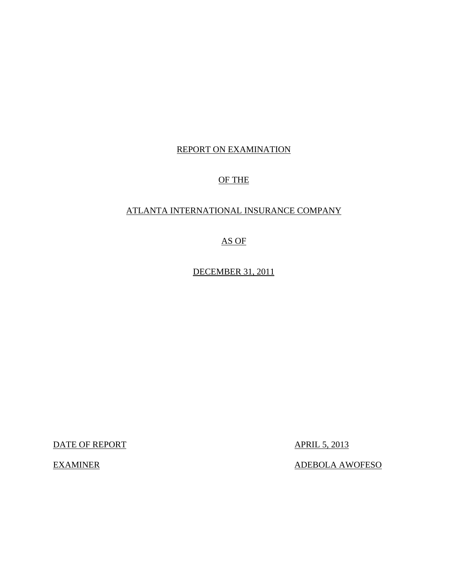## REPORT ON EXAMINATION

## OF THE

## ATLANTA INTERNATIONAL INSURANCE COMPANY

## AS OF

DECEMBER 31, 2011

DATE OF REPORT APRIL 5, 2013

EXAMINER ADEBOLA AWOFESO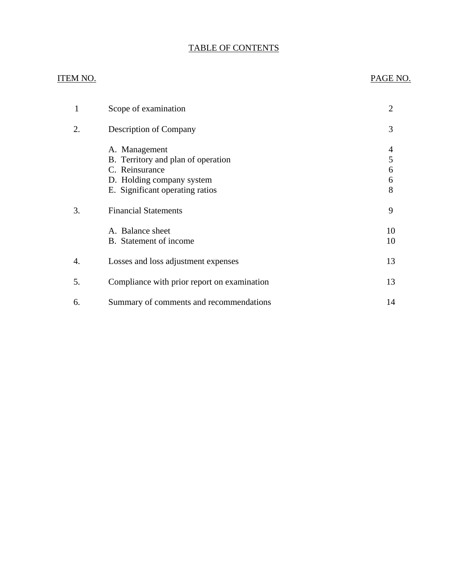## TABLE OF CONTENTS

## ITEM NO. PAGE NO.

| 1  | Scope of examination                                                                                                                  | 2                     |
|----|---------------------------------------------------------------------------------------------------------------------------------------|-----------------------|
| 2. | Description of Company                                                                                                                | 3                     |
|    | A. Management<br>B. Territory and plan of operation<br>C. Reinsurance<br>D. Holding company system<br>E. Significant operating ratios | 4<br>5<br>6<br>6<br>8 |
| 3. | <b>Financial Statements</b>                                                                                                           | 9                     |
|    | A. Balance sheet<br>B. Statement of income                                                                                            | 10<br>10              |
| 4. | Losses and loss adjustment expenses                                                                                                   | 13                    |
| 5. | Compliance with prior report on examination                                                                                           | 13                    |
| 6. | Summary of comments and recommendations                                                                                               | 14                    |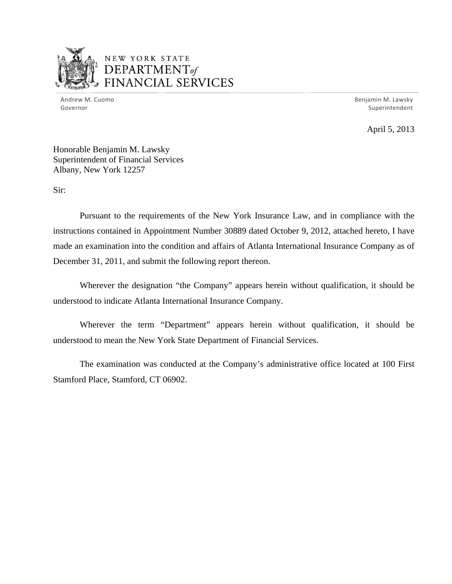

## NEW YORK STATE DEPARTMENT<sub>of</sub> FINANCIAL SERVICES

Andrew M. Cuomo Governor

Benjamin M. Lawsky Superintendent

April 5, 2013

Honorable Benjamin M. Lawsky Superintendent of Financial Services Albany, New York 12257

Sir:

Pursuant to the requirements of the New York Insurance Law, and in compliance with the instructions contained in Appointment Number 30889 dated October 9, 2012, attached hereto, I have made an examination into the condition and affairs of Atlanta International Insurance Company as of December 31, 2011, and submit the following report thereon.

Wherever the designation "the Company" appears herein without qualification, it should be understood to indicate Atlanta International Insurance Company.

Wherever the term "Department" appears herein without qualification, it should be understood to mean the New York State Department of Financial Services.

The examination was conducted at the Company's administrative office located at 100 First Stamford Place, Stamford, CT 06902.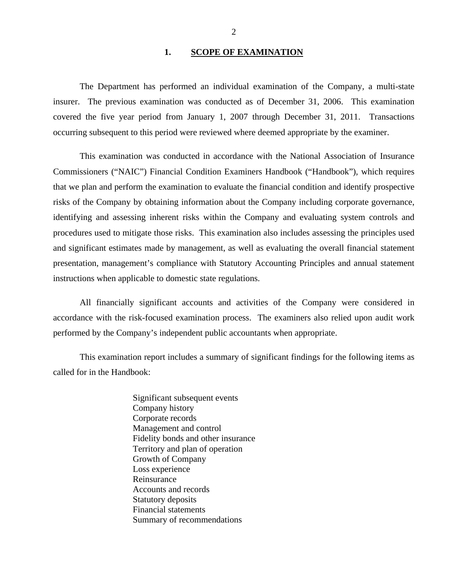### 1. SCOPE OF EXAMINATION

<span id="page-3-0"></span>The Department has performed an individual examination of the Company*,* a multi-state insurer. The previous examination was conducted as of December 31, 2006. This examination covered the five year period from January 1, 2007 through December 31, 2011. Transactions occurring subsequent to this period were reviewed where deemed appropriate by the examiner.

This examination was conducted in accordance with the National Association of Insurance Commissioners ("NAIC") Financial Condition Examiners Handbook ("Handbook"), which requires that we plan and perform the examination to evaluate the financial condition and identify prospective risks of the Company by obtaining information about the Company including corporate governance, identifying and assessing inherent risks within the Company and evaluating system controls and procedures used to mitigate those risks. This examination also includes assessing the principles used and significant estimates made by management, as well as evaluating the overall financial statement presentation, management's compliance with Statutory Accounting Principles and annual statement instructions when applicable to domestic state regulations.

All financially significant accounts and activities of the Company were considered in accordance with the risk-focused examination process. The examiners also relied upon audit work performed by the Company's independent public accountants when appropriate.

This examination report includes a summary of significant findings for the following items as called for in the Handbook:

> Significant subsequent events Company history Corporate records Management and control Fidelity bonds and other insurance Territory and plan of operation Growth of Company Loss experience Reinsurance Accounts and records Statutory deposits Financial statements Summary of recommendations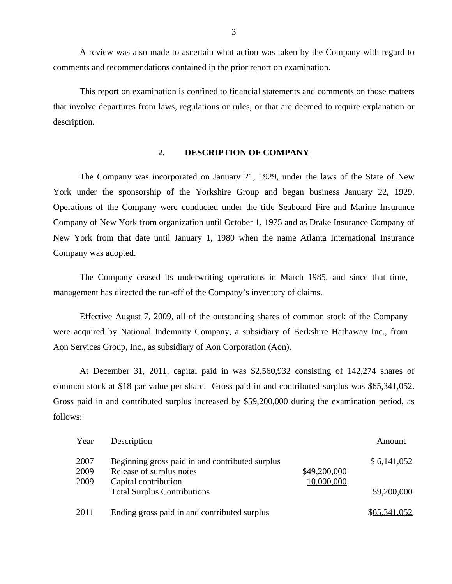A review was also made to ascertain what action was taken by the Company with regard to comments and recommendations contained in the prior report on examination.

This report on examination is confined to financial statements and comments on those matters that involve departures from laws, regulations or rules, or that are deemed to require explanation or description.

#### **2. DESCRIPTION OF COMPANY**

The Company was incorporated on January 21, 1929, under the laws of the State of New York under the sponsorship of the Yorkshire Group and began business January 22, 1929. Operations of the Company were conducted under the title Seaboard Fire and Marine Insurance Company of New York from organization until October 1, 1975 and as Drake Insurance Company of New York from that date until January 1, 1980 when the name Atlanta International Insurance Company was adopted.

The Company ceased its underwriting operations in March 1985, and since that time, management has directed the run-off of the Company's inventory of claims.

Effective August 7, 2009, all of the outstanding shares of common stock of the Company were acquired by National Indemnity Company, a subsidiary of Berkshire Hathaway Inc., from Aon Services Group, Inc., as subsidiary of Aon Corporation (Aon).

At December 31, 2011, capital paid in was \$2,560,932 consisting of 142,274 shares of common stock at \$18 par value per share. Gross paid in and contributed surplus was \$65,341,052. Gross paid in and contributed surplus increased by \$59,200,000 during the examination period, as follows:

| Year | Description                                     |              | Amount       |
|------|-------------------------------------------------|--------------|--------------|
| 2007 | Beginning gross paid in and contributed surplus |              | \$6,141,052  |
| 2009 | Release of surplus notes                        | \$49,200,000 |              |
| 2009 | Capital contribution                            | 10,000,000   |              |
|      | <b>Total Surplus Contributions</b>              |              | 59,200,000   |
| 2011 | Ending gross paid in and contributed surplus    |              | \$65,341,052 |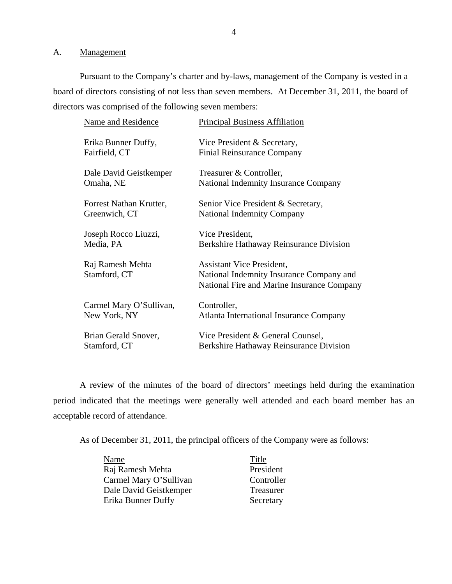#### A. Management

Pursuant to the Company's charter and by-laws, management of the Company is vested in a board of directors consisting of not less than seven members. At December 31, 2011, the board of directors was comprised of the following seven members:

| <b>Name and Residence</b>        | <b>Principal Business Affiliation</b>                                                                                      |
|----------------------------------|----------------------------------------------------------------------------------------------------------------------------|
| Erika Bunner Duffy,              | Vice President & Secretary,                                                                                                |
| Fairfield, CT                    | <b>Finial Reinsurance Company</b>                                                                                          |
| Dale David Geistkemper           | Treasurer & Controller,                                                                                                    |
| Omaha, NE                        | <b>National Indemnity Insurance Company</b>                                                                                |
| Forrest Nathan Krutter,          | Senior Vice President & Secretary,                                                                                         |
| Greenwich, CT                    | <b>National Indemnity Company</b>                                                                                          |
| Joseph Rocco Liuzzi,             | Vice President,                                                                                                            |
| Media, PA                        | <b>Berkshire Hathaway Reinsurance Division</b>                                                                             |
| Raj Ramesh Mehta<br>Stamford, CT | <b>Assistant Vice President,</b><br>National Indemnity Insurance Company and<br>National Fire and Marine Insurance Company |
| Carmel Mary O'Sullivan,          | Controller,                                                                                                                |
| New York, NY                     | <b>Atlanta International Insurance Company</b>                                                                             |
| Brian Gerald Snover,             | Vice President & General Counsel,                                                                                          |
| Stamford, CT                     | Berkshire Hathaway Reinsurance Division                                                                                    |

A review of the minutes of the board of directors' meetings held during the examination period indicated that the meetings were generally well attended and each board member has an acceptable record of attendance.

As of December 31, 2011, the principal officers of the Company were as follows:

| Name                   | Title      |
|------------------------|------------|
| Raj Ramesh Mehta       | President  |
| Carmel Mary O'Sullivan | Controller |
| Dale David Geistkemper | Treasurer  |
| Erika Bunner Duffy     | Secretary  |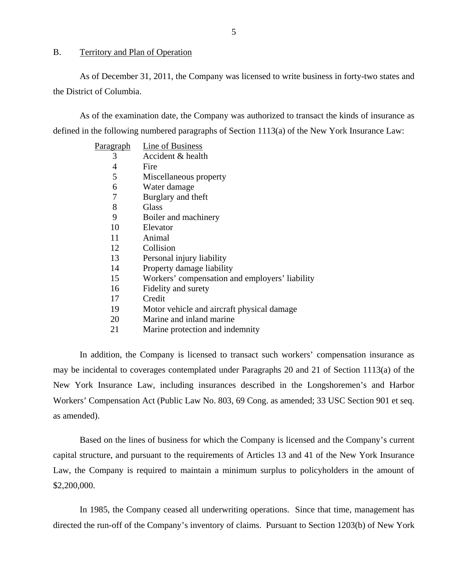#### <span id="page-6-0"></span>B. Territory and Plan of Operation

As of December 31, 2011, the Company was licensed to write business in forty-two states and the District of Columbia.

As of the examination date, the Company was authorized to transact the kinds of insurance as defined in the following numbered paragraphs of Section 1113(a) of the New York Insurance Law:

| P <u>aragraph</u> | Line of Business                               |
|-------------------|------------------------------------------------|
| 3                 | Accident & health                              |
| 4                 | Fire                                           |
| 5                 | Miscellaneous property                         |
| 6                 | Water damage                                   |
| 7                 | Burglary and theft                             |
| 8                 | Glass                                          |
| 9                 | Boiler and machinery                           |
| 10                | Elevator                                       |
| 11                | Animal                                         |
| 12                | Collision                                      |
| 13                | Personal injury liability                      |
| 14                | Property damage liability                      |
| 15                | Workers' compensation and employers' liability |
| 16                | Fidelity and surety                            |
| 17                | Credit                                         |
| 19                | Motor vehicle and aircraft physical damage.    |
| 20                | Marine and inland marine                       |
| 21                | Marine protection and indemnity                |
|                   |                                                |

In addition, the Company is licensed to transact such workers' compensation insurance as may be incidental to coverages contemplated under Paragraphs 20 and 21 of Section 1113(a) of the New York Insurance Law, including insurances described in the Longshoremen's and Harbor Workers' Compensation Act (Public Law No. 803, 69 Cong. as amended; 33 USC Section 901 et seq. as amended).

Based on the lines of business for which the Company is licensed and the Company's current capital structure, and pursuant to the requirements of Articles 13 and 41 of the New York Insurance Law, the Company is required to maintain a minimum surplus to policyholders in the amount of \$2,200,000.

In 1985, the Company ceased all underwriting operations. Since that time, management has directed the run-off of the Company's inventory of claims. Pursuant to Section 1203(b) of New York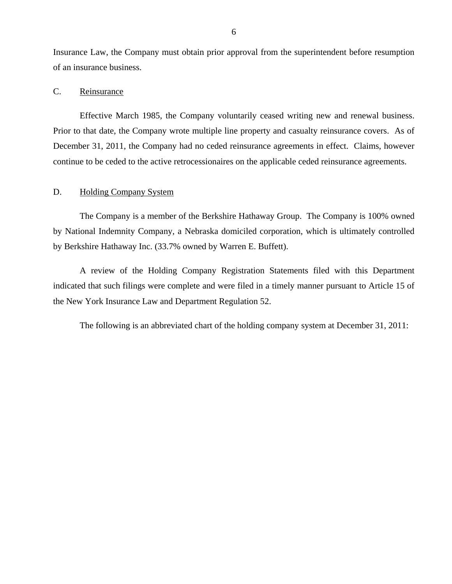<span id="page-7-0"></span>Insurance Law, the Company must obtain prior approval from the superintendent before resumption of an insurance business.

#### C. Reinsurance

Effective March 1985, the Company voluntarily ceased writing new and renewal business. Prior to that date, the Company wrote multiple line property and casualty reinsurance covers. As of December 31, 2011, the Company had no ceded reinsurance agreements in effect. Claims, however continue to be ceded to the active retrocessionaires on the applicable ceded reinsurance agreements.

### D. Holding Company System

The Company is a member of the Berkshire Hathaway Group. The Company is 100% owned by National Indemnity Company, a Nebraska domiciled corporation, which is ultimately controlled by Berkshire Hathaway Inc. (33.7% owned by Warren E. Buffett).

A review of the Holding Company Registration Statements filed with this Department indicated that such filings were complete and were filed in a timely manner pursuant to Article 15 of the New York Insurance Law and Department Regulation 52.

The following is an abbreviated chart of the holding company system at December 31, 2011: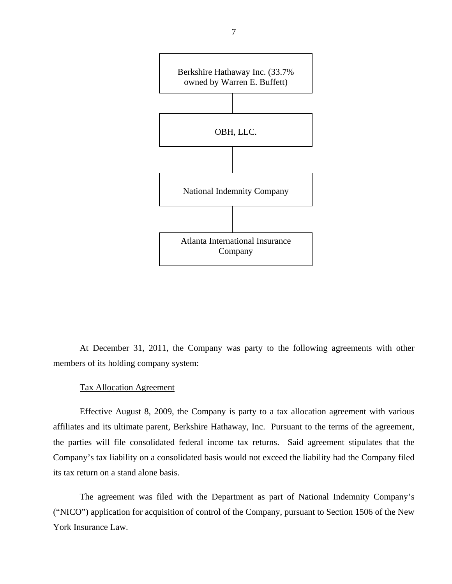

At December 31, 2011, the Company was party to the following agreements with other members of its holding company system:

#### Tax Allocation Agreement

Effective August 8, 2009, the Company is party to a tax allocation agreement with various affiliates and its ultimate parent, Berkshire Hathaway, Inc. Pursuant to the terms of the agreement, the parties will file consolidated federal income tax returns. Said agreement stipulates that the Company's tax liability on a consolidated basis would not exceed the liability had the Company filed its tax return on a stand alone basis.

The agreement was filed with the Department as part of National Indemnity Company's ("NICO") application for acquisition of control of the Company, pursuant to Section 1506 of the New York Insurance Law.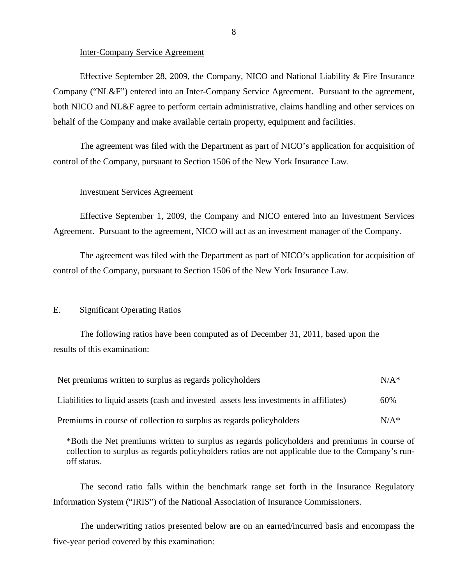#### Inter-Company Service Agreement

Effective September 28, 2009, the Company, NICO and National Liability  $\&$  Fire Insurance Company ("NL&F") entered into an Inter-Company Service Agreement. Pursuant to the agreement, both NICO and NL&F agree to perform certain administrative, claims handling and other services on behalf of the Company and make available certain property, equipment and facilities.

The agreement was filed with the Department as part of NICO's application for acquisition of control of the Company, pursuant to Section 1506 of the New York Insurance Law.

#### Investment Services Agreement

Effective September 1, 2009, the Company and NICO entered into an Investment Services Agreement. Pursuant to the agreement, NICO will act as an investment manager of the Company.

The agreement was filed with the Department as part of NICO's application for acquisition of control of the Company, pursuant to Section 1506 of the New York Insurance Law.

#### E. Significant Operating Ratios

The following ratios have been computed as of December 31, 2011, based upon the results of this examination:

| Net premiums written to surplus as regards policyholders                               | $N/A^*$ |
|----------------------------------------------------------------------------------------|---------|
| Liabilities to liquid assets (cash and invested assets less investments in affiliates) | 60%     |
| Premiums in course of collection to surplus as regards policyholders                   | $N/A^*$ |

\*Both the Net premiums written to surplus as regards policyholders and premiums in course of collection to surplus as regards policyholders ratios are not applicable due to the Company's runoff status.

The second ratio falls within the benchmark range set forth in the Insurance Regulatory Information System ("IRIS") of the National Association of Insurance Commissioners.

The underwriting ratios presented below are on an earned/incurred basis and encompass the five-year period covered by this examination: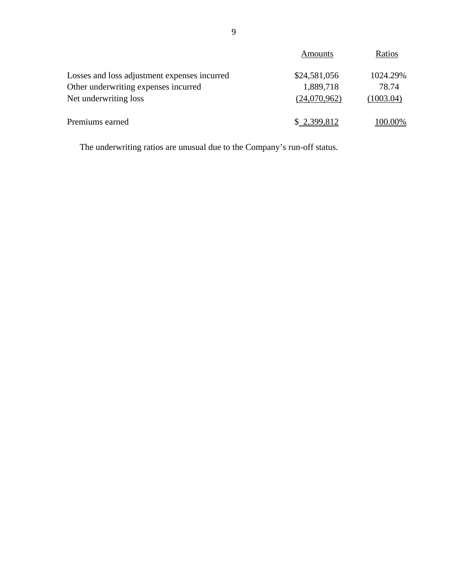<span id="page-10-0"></span>

|                                              | Amounts      | Ratios    |
|----------------------------------------------|--------------|-----------|
| Losses and loss adjustment expenses incurred | \$24,581,056 | 1024.29%  |
| Other underwriting expenses incurred         | 1,889,718    | 78.74     |
| Net underwriting loss                        | (24,070,962) | (1003.04) |
| Premiums earned                              | \$2,399,812  | 100.00%   |

The underwriting ratios are unusual due to the Company's run-off status.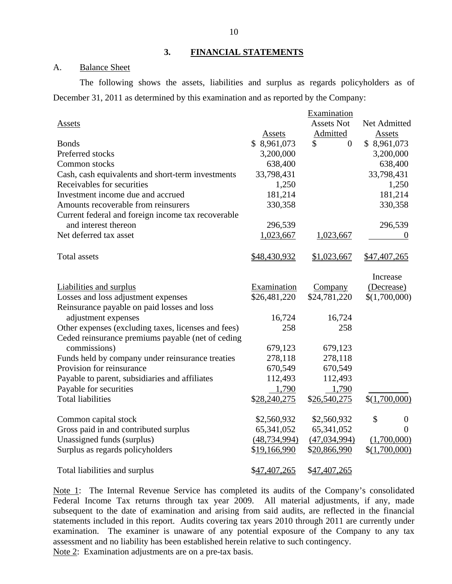#### **3. FINANCIAL STATEMENTS**

## A. Balance Sheet

The following shows the assets, liabilities and surplus as regards policyholders as of December 31, 2011 as determined by this examination and as reported by the Company:

|                                                                                                          |                | Examination          |                        |
|----------------------------------------------------------------------------------------------------------|----------------|----------------------|------------------------|
| <b>Assets</b>                                                                                            |                | <b>Assets Not</b>    | Net Admitted           |
|                                                                                                          | Assets         | Admitted             | Assets                 |
| <b>Bonds</b>                                                                                             | \$8,961,073    | \$<br>$\overline{0}$ | \$8,961,073            |
| Preferred stocks                                                                                         | 3,200,000      |                      | 3,200,000              |
| Common stocks                                                                                            | 638,400        |                      | 638,400                |
| Cash, cash equivalents and short-term investments                                                        | 33,798,431     |                      | 33,798,431             |
| Receivables for securities                                                                               | 1,250          |                      | 1,250                  |
| Investment income due and accrued                                                                        | 181,214        |                      | 181,214                |
| Amounts recoverable from reinsurers                                                                      | 330,358        |                      | 330,358                |
| Current federal and foreign income tax recoverable                                                       |                |                      |                        |
| and interest thereon                                                                                     | 296,539        |                      | 296,539                |
| Net deferred tax asset                                                                                   | 1,023,667      | 1,023,667            | 0                      |
|                                                                                                          |                |                      |                        |
| <b>Total assets</b>                                                                                      | \$48,430,932   | \$1,023,667          | \$47,407,265           |
|                                                                                                          |                |                      | Increase               |
|                                                                                                          | Examination    | Company              | (Decrease)             |
| <b>Liabilities and surplus</b><br>Losses and loss adjustment expenses                                    | \$26,481,220   | \$24,781,220         | \$(1,700,000)          |
| Reinsurance payable on paid losses and loss                                                              |                |                      |                        |
|                                                                                                          | 16,724         | 16,724               |                        |
| adjustment expenses                                                                                      | 258            | 258                  |                        |
| Other expenses (excluding taxes, licenses and fees)<br>Ceded reinsurance premiums payable (net of ceding |                |                      |                        |
| commissions)                                                                                             |                |                      |                        |
|                                                                                                          | 679,123        | 679,123              |                        |
| Funds held by company under reinsurance treaties<br>Provision for reinsurance                            | 278,118        | 278,118              |                        |
|                                                                                                          | 670,549        | 670,549              |                        |
| Payable to parent, subsidiaries and affiliates                                                           | 112,493        | 112,493              |                        |
| Payable for securities                                                                                   | 1,790          | 1,790                |                        |
| <b>Total liabilities</b>                                                                                 | \$28,240,275   | \$26,540,275         | \$(1,700,000)          |
| Common capital stock                                                                                     | \$2,560,932    | \$2,560,932          | \$<br>$\boldsymbol{0}$ |
| Gross paid in and contributed surplus                                                                    | 65, 341, 052   | 65, 341, 052         | $\Omega$               |
| Unassigned funds (surplus)                                                                               | (48, 734, 994) | (47, 034, 994)       | (1,700,000)            |
| Surplus as regards policyholders                                                                         | \$19,166,990   | \$20,866,990         | \$(1,700,000)          |
|                                                                                                          |                |                      |                        |
| Total liabilities and surplus                                                                            | \$47,407,265   | \$47,407,265         |                        |

Note 1: The Internal Revenue Service has completed its audits of the Company's consolidated Federal Income Tax returns through tax year 2009. All material adjustments, if any, made subsequent to the date of examination and arising from said audits, are reflected in the financial statements included in this report. Audits covering tax years 2010 through 2011 are currently under examination. The examiner is unaware of any potential exposure of the Company to any tax assessment and no liability has been established herein relative to such contingency.

Note 2: Examination adjustments are on a pre-tax basis.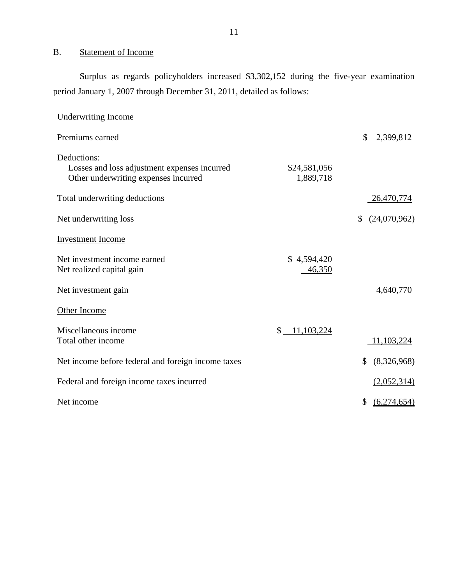## B. Statement of Income

Surplus as regards policyholders increased \$3,302,152 during the five-year examination period January 1, 2007 through December 31, 2011, detailed as follows:

| <b>Underwriting Income</b>                                                                          |                           |                    |
|-----------------------------------------------------------------------------------------------------|---------------------------|--------------------|
| Premiums earned                                                                                     |                           | \$<br>2,399,812    |
| Deductions:<br>Losses and loss adjustment expenses incurred<br>Other underwriting expenses incurred | \$24,581,056<br>1,889,718 |                    |
| Total underwriting deductions                                                                       |                           | 26,470,774         |
| Net underwriting loss                                                                               |                           | (24,070,962)<br>\$ |
| <b>Investment Income</b>                                                                            |                           |                    |
| Net investment income earned<br>Net realized capital gain                                           | \$4,594,420<br>46,350     |                    |
| Net investment gain                                                                                 |                           | 4,640,770          |
| Other Income                                                                                        |                           |                    |
| Miscellaneous income<br>Total other income                                                          | 11,103,224<br>\$          | 11,103,224         |
| Net income before federal and foreign income taxes                                                  |                           | (8,326,968)<br>\$  |
| Federal and foreign income taxes incurred                                                           |                           | (2,052,314)        |
| Net income                                                                                          |                           | \$<br>(6,274,654)  |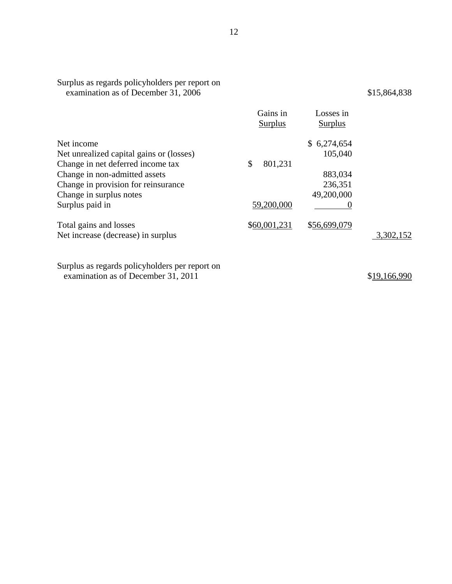| Surplus as regards policyholders per report on<br>examination as of December 31, 2006 |                            |                             | \$15,864,838 |
|---------------------------------------------------------------------------------------|----------------------------|-----------------------------|--------------|
|                                                                                       | Gains in<br><b>Surplus</b> | Losses in<br><b>Surplus</b> |              |
| Net income                                                                            |                            | \$6,274,654                 |              |
| Net unrealized capital gains or (losses)                                              |                            | 105,040                     |              |
| Change in net deferred income tax                                                     | \$<br>801,231              |                             |              |
| Change in non-admitted assets                                                         |                            | 883,034                     |              |
| Change in provision for reinsurance                                                   |                            | 236,351                     |              |
| Change in surplus notes                                                               |                            | 49,200,000                  |              |
| Surplus paid in                                                                       | 59,200,000                 |                             |              |
| Total gains and losses                                                                | \$60,001,231               | \$56,699,079                |              |
| Net increase (decrease) in surplus                                                    |                            |                             | 3,302,152    |
| Cumbre es nescude nelleuled dem non non ent                                           |                            |                             |              |

Surplus as regards policyholders per report on examination as of December 31, 2011

\$19,166,990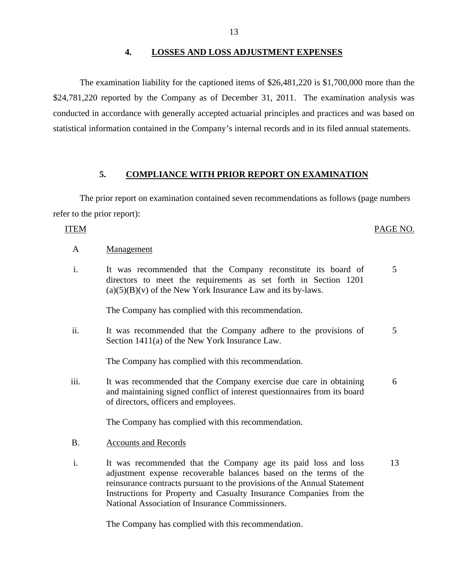## **4. LOSSES AND LOSS ADJUSTMENT EXPENSES**

The examination liability for the captioned items of \$26,481,220 is \$1,700,000 more than the \$24,781,220 reported by the Company as of December 31, 2011. The examination analysis was conducted in accordance with generally accepted actuarial principles and practices and was based on statistical information contained in the Company's internal records and in its filed annual statements.

## **5. COMPLIANCE WITH PRIOR REPORT ON EXAMINATION**

The prior report on examination contained seven recommendations as follows (page numbers refer to the prior report):

## ITEM PAGE NO.

### A Management

i. It was recommended that the Company reconstitute its board of directors to meet the requirements as set forth in Section 1201  $(a)(5)(B)(v)$  of the New York Insurance Law and its by-laws. 5

The Company has complied with this recommendation.

ii. It was recommended that the Company adhere to the provisions of Section 1411(a) of the New York Insurance Law. 5

The Company has complied with this recommendation.

iii. It was recommended that the Company exercise due care in obtaining and maintaining signed conflict of interest questionnaires from its board of directors, officers and employees. 6

The Company has complied with this recommendation.

## B. Accounts and Records

i. It was recommended that the Company age its paid loss and loss adjustment expense recoverable balances based on the terms of the reinsurance contracts pursuant to the provisions of the Annual Statement Instructions for Property and Casualty Insurance Companies from the National Association of Insurance Commissioners. 13

The Company has complied with this recommendation.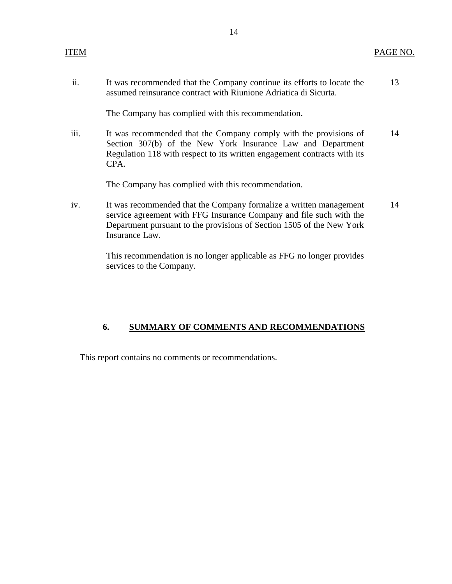<span id="page-15-0"></span>

ii. It was recommended that the Company continue its efforts to locate the 13 assumed reinsurance contract with Riunione Adriatica di Sicurta.

The Company has complied with this recommendation.

iii. It was recommended that the Company comply with the provisions of 14 Section 307(b) of the New York Insurance Law and Department Regulation 118 with respect to its written engagement contracts with its CPA.

The Company has complied with this recommendation.

iv. It was recommended that the Company formalize a written management 14 service agreement with FFG Insurance Company and file such with the Department pursuant to the provisions of Section 1505 of the New York Insurance Law.

> This recommendation is no longer applicable as FFG no longer provides services to the Company.

## **6. SUMMARY OF COMMENTS AND RECOMMENDATIONS**

This report contains no comments or recommendations.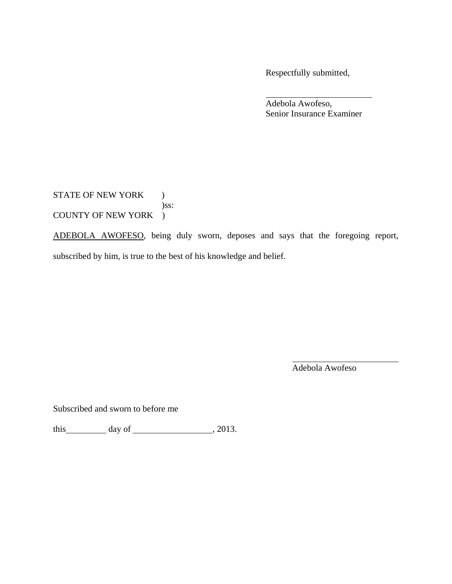Respectfully submitted,

 Adebola Awofeso, Senior Insurance Examiner

STATE OF NEW YORK ) )ss: COUNTY OF NEW YORK )

ADEBOLA AWOFESO, being duly sworn, deposes and says that the foregoing report, subscribed by him, is true to the best of his knowledge and belief.

Adebola Awofeso

Subscribed and sworn to before me

this  $\_\_\_\_\_$  day of  $\_\_\_\_\_\_$ , 2013.